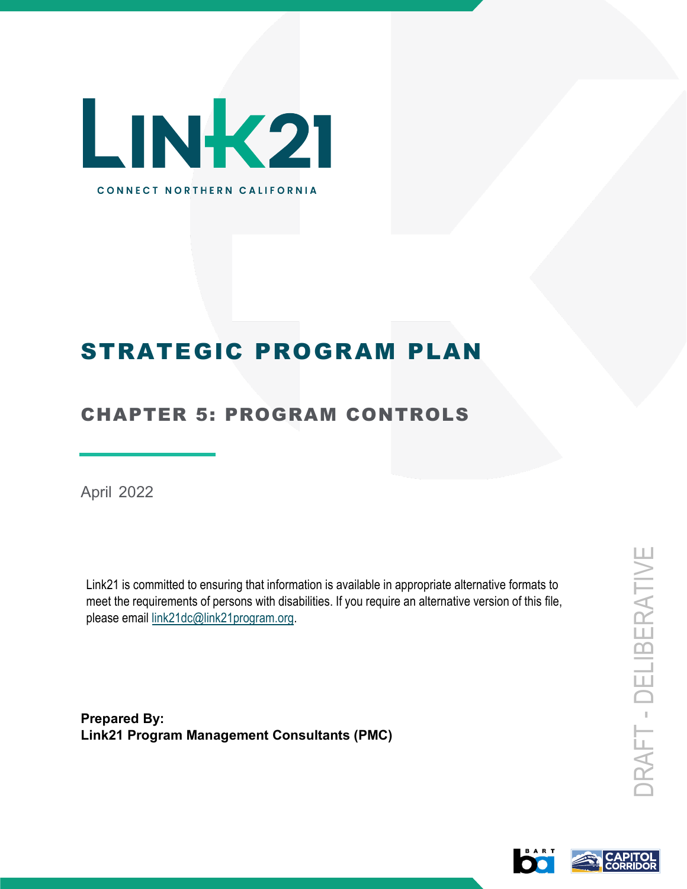

# STRATEGIC PROGRAM PLAN

## CHAPTER 5: PROGRAM CONTROLS

April 2022

Link21 is committed to ensuring that information is available in appropriate alternative formats to meet the requirements of persons with disabilities. If you require an alternative version of this file, please email link21dc@link21program.org.

**Prepared By: Link21 Program Management Consultants (PMC)**

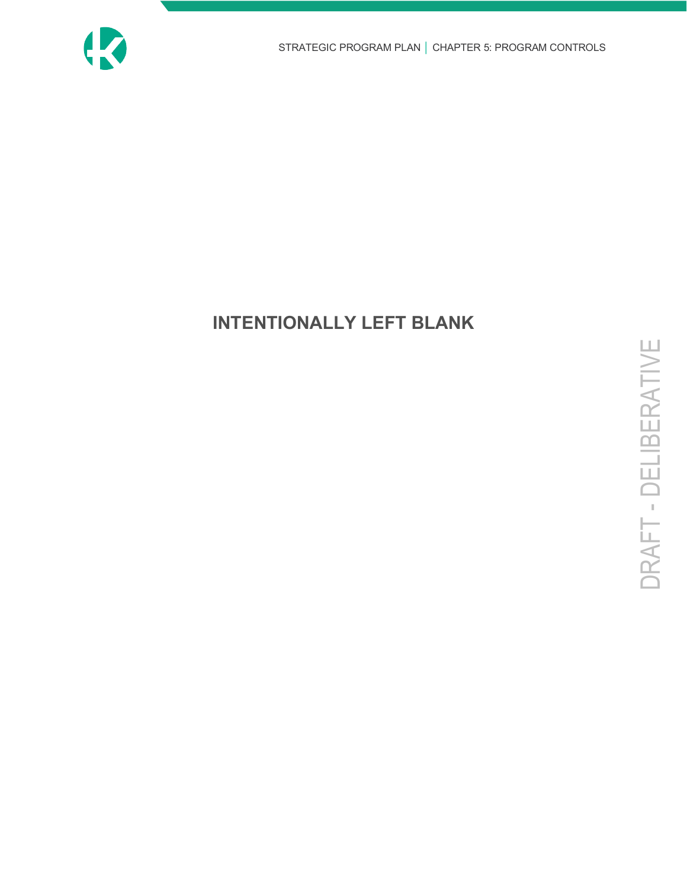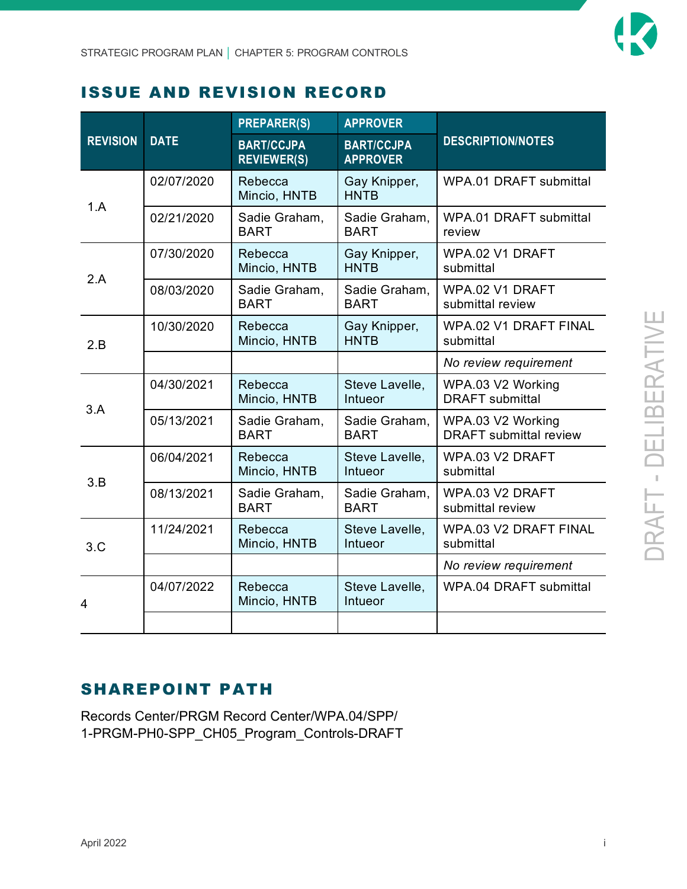

### ISSUE AND REVISION RECORD

|                                                                           |            | <b>PREPARER(S)</b>                   | <b>APPROVER</b>              |                                                    |
|---------------------------------------------------------------------------|------------|--------------------------------------|------------------------------|----------------------------------------------------|
| <b>REVISION</b><br><b>DATE</b><br><b>BART/CCJPA</b><br><b>REVIEWER(S)</b> |            | <b>BART/CCJPA</b><br><b>APPROVER</b> | <b>DESCRIPTION/NOTES</b>     |                                                    |
| 1.A                                                                       | 02/07/2020 | Rebecca<br>Mincio, HNTB              | Gay Knipper,<br><b>HNTB</b>  | <b>WPA.01 DRAFT submittal</b>                      |
|                                                                           | 02/21/2020 | Sadie Graham,<br><b>BART</b>         | Sadie Graham,<br><b>BART</b> | <b>WPA.01 DRAFT submittal</b><br>review            |
| 2.A                                                                       | 07/30/2020 | Rebecca<br>Mincio, HNTB              | Gay Knipper,<br><b>HNTB</b>  | WPA.02 V1 DRAFT<br>submittal                       |
|                                                                           | 08/03/2020 | Sadie Graham,<br><b>BART</b>         | Sadie Graham,<br><b>BART</b> | WPA.02 V1 DRAFT<br>submittal review                |
| 2.B                                                                       | 10/30/2020 | Rebecca<br>Mincio, HNTB              | Gay Knipper,<br><b>HNTB</b>  | <b>WPA.02 V1 DRAFT FINAL</b><br>submittal          |
|                                                                           |            |                                      |                              | No review requirement                              |
| 3.A                                                                       | 04/30/2021 | Rebecca<br>Mincio, HNTB              | Steve Lavelle,<br>Intueor    | WPA.03 V2 Working<br><b>DRAFT</b> submittal        |
|                                                                           | 05/13/2021 | Sadie Graham,<br><b>BART</b>         | Sadie Graham,<br><b>BART</b> | WPA.03 V2 Working<br><b>DRAFT</b> submittal review |
| 06/04/2021<br>Rebecca<br>Mincio, HNTB<br>3.B                              |            | Steve Lavelle,<br>Intueor            | WPA.03 V2 DRAFT<br>submittal |                                                    |
|                                                                           | 08/13/2021 | Sadie Graham,<br><b>BART</b>         | Sadie Graham,<br><b>BART</b> | WPA.03 V2 DRAFT<br>submittal review                |
| 3.C                                                                       | 11/24/2021 | Rebecca<br>Mincio, HNTB              | Steve Lavelle,<br>Intueor    | WPA.03 V2 DRAFT FINAL<br>submittal                 |
|                                                                           |            |                                      |                              | No review requirement                              |
| 4                                                                         | 04/07/2022 | Rebecca<br>Mincio, HNTB              | Steve Lavelle,<br>Intueor    | <b>WPA.04 DRAFT submittal</b>                      |
|                                                                           |            |                                      |                              |                                                    |

### SHAREPOINT PATH

Records Center/PRGM Record Center/WPA.04/SPP/ 1-PRGM-PH0-SPP\_CH05\_Program\_Controls-DRAFT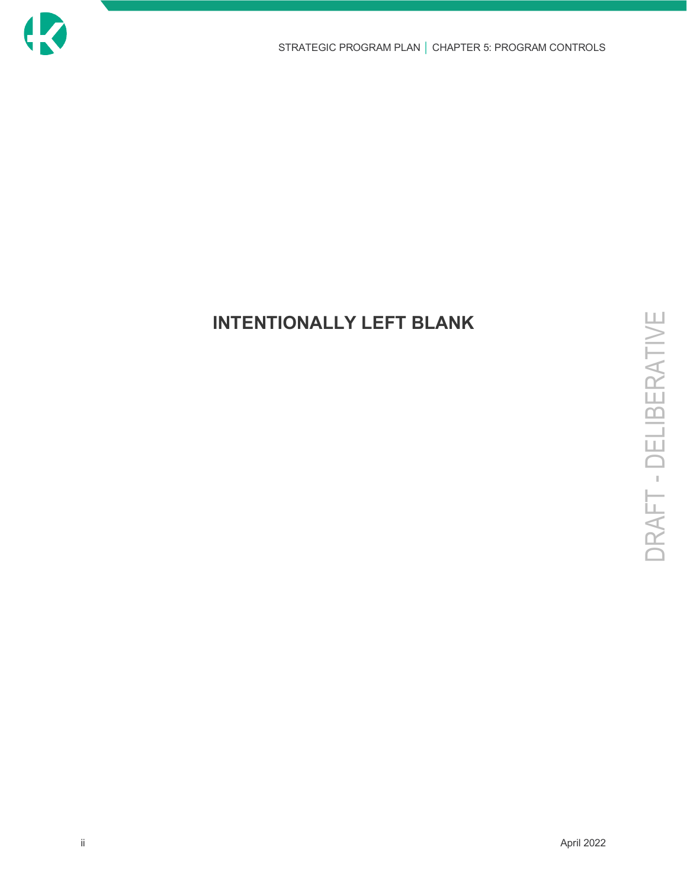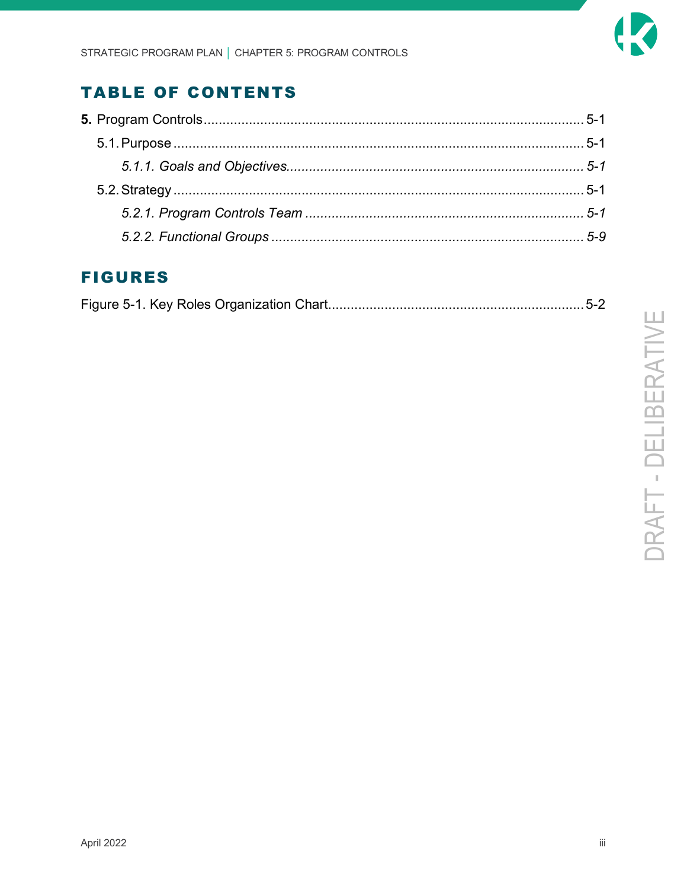

### **TABLE OF CONTENTS**

### **FIGURES**

|--|--|--|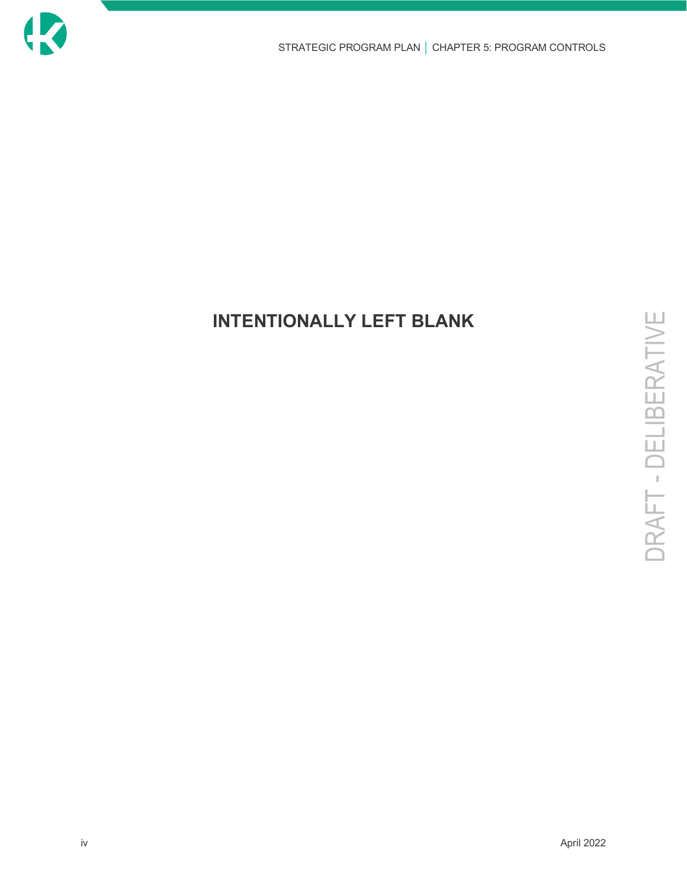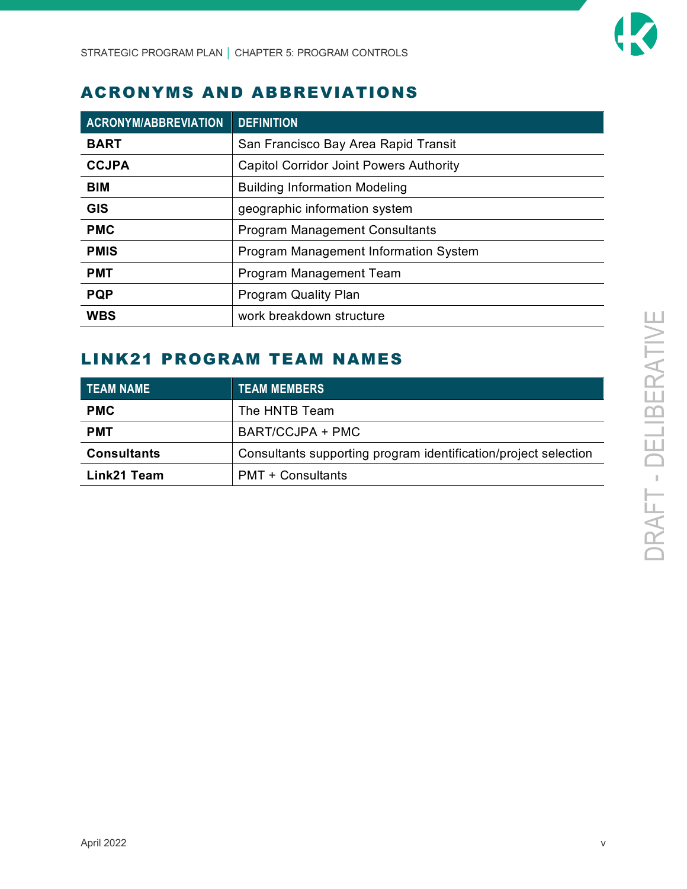

### ACRONYMS AND ABBREVIATIONS

| <b>ACRONYM/ABBREVIATION</b> | <b>DEFINITION</b>                              |  |  |
|-----------------------------|------------------------------------------------|--|--|
| <b>BART</b>                 | San Francisco Bay Area Rapid Transit           |  |  |
| <b>CCJPA</b>                | <b>Capitol Corridor Joint Powers Authority</b> |  |  |
| <b>BIM</b>                  | <b>Building Information Modeling</b>           |  |  |
| <b>GIS</b>                  | geographic information system                  |  |  |
| <b>PMC</b>                  | <b>Program Management Consultants</b>          |  |  |
| <b>PMIS</b>                 | <b>Program Management Information System</b>   |  |  |
| <b>PMT</b>                  | Program Management Team                        |  |  |
| <b>PQP</b>                  | <b>Program Quality Plan</b>                    |  |  |
| <b>WBS</b>                  | work breakdown structure                       |  |  |

### LINK21 PROGRAM TEAM NAMES

| <b>TEAM NAME</b>   | <b>TEAM MEMBERS</b>                                             |
|--------------------|-----------------------------------------------------------------|
| <b>PMC</b>         | The HNTB Team                                                   |
| <b>PMT</b>         | BART/CCJPA + PMC                                                |
| <b>Consultants</b> | Consultants supporting program identification/project selection |
| Link21 Team        | <b>PMT + Consultants</b>                                        |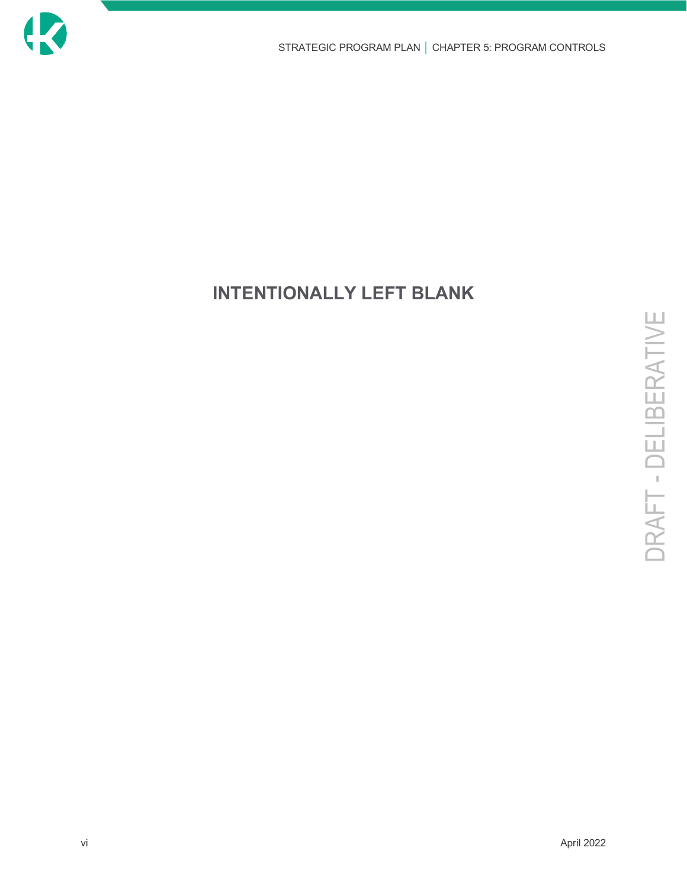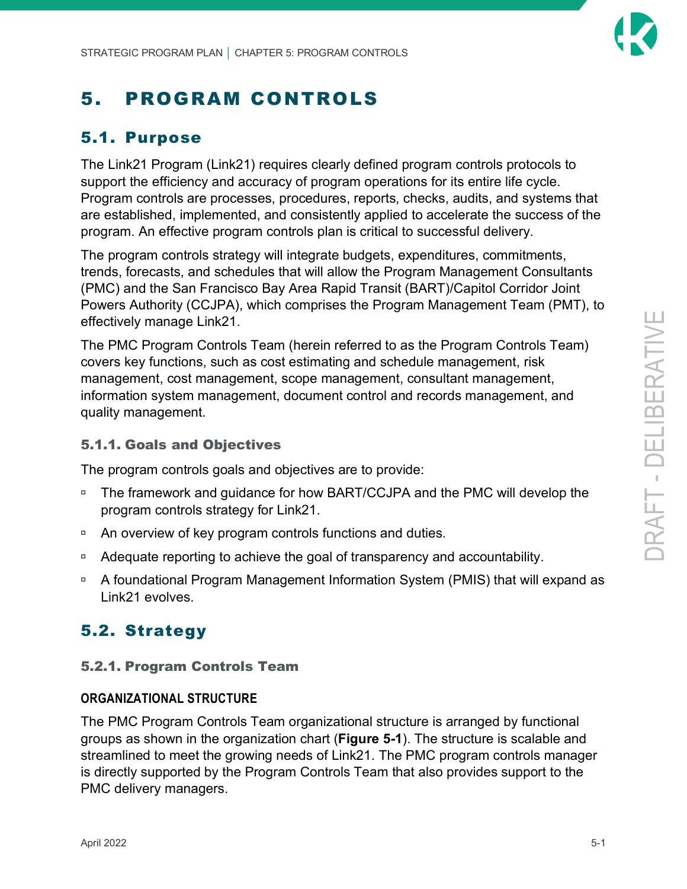

## <span id="page-8-0"></span>5. PROGRAM CONTROLS

### <span id="page-8-1"></span>5.1. Purpose

The Link21 Program (Link21) requires clearly defined program controls protocols to support the efficiency and accuracy of program operations for its entire life cycle. Program controls are processes, procedures, reports, checks, audits, and systems that are established, implemented, and consistently applied to accelerate the success of the program. An effective program controls plan is critical to successful delivery.

The program controls strategy will integrate budgets, expenditures, commitments, trends, forecasts, and schedules that will allow the Program Management Consultants (PMC) and the San Francisco Bay Area Rapid Transit (BART)/Capitol Corridor Joint Powers Authority (CCJPA), which comprises the Program Management Team (PMT), to effectively manage Link21.

The PMC Program Controls Team (herein referred to as the Program Controls Team) covers key functions, such as cost estimating and schedule management, risk management, cost management, scope management, consultant management, information system management, document control and records management, and quality management.

### <span id="page-8-2"></span>5.1.1. Goals and Objectives

The program controls goals and objectives are to provide:

- □ The framework and guidance for how BART/CCJPA and the PMC will develop the program controls strategy for Link21.
- <sup>n</sup> An overview of key program controls functions and duties.
- □ Adequate reporting to achieve the goal of transparency and accountability.
- □ A foundational Program Management Information System (PMIS) that will expand as Link21 evolves.

### <span id="page-8-3"></span>5.2. Strategy

### <span id="page-8-4"></span>5.2.1. Program Controls Team

#### **ORGANIZATIONAL STRUCTURE**

<span id="page-8-5"></span>The PMC Program Controls Team organizational structure is arranged by functional groups as shown in the organization chart (**[Figure 5-1](#page-8-5)**). The structure is scalable and streamlined to meet the growing needs of Link21. The PMC program controls manager is directly supported by the Program Controls Team that also provides support to the PMC delivery managers.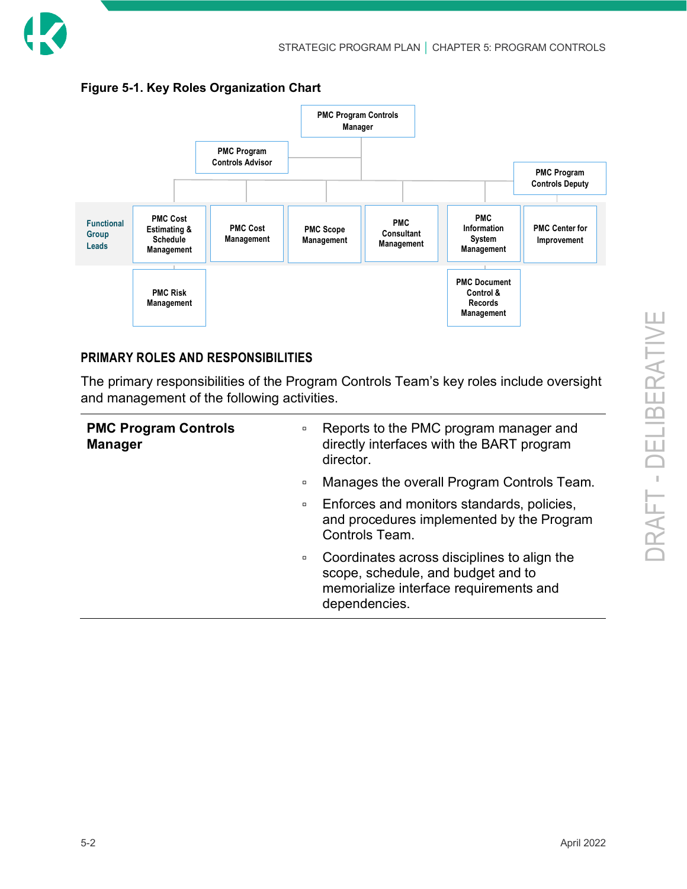

<span id="page-9-0"></span>



### **PRIMARY ROLES AND RESPONSIBILITIES**

The primary responsibilities of the Program Controls Team's key roles include oversight and management of the following activities.

| <b>PMC Program Controls</b><br><b>Manager</b> | $\Box$ | Reports to the PMC program manager and<br>directly interfaces with the BART program<br>director.                                             |
|-----------------------------------------------|--------|----------------------------------------------------------------------------------------------------------------------------------------------|
|                                               | о      | Manages the overall Program Controls Team.                                                                                                   |
|                                               | $\Box$ | Enforces and monitors standards, policies,<br>and procedures implemented by the Program<br>Controls Team.                                    |
|                                               | α      | Coordinates across disciplines to align the<br>scope, schedule, and budget and to<br>memorialize interface requirements and<br>dependencies. |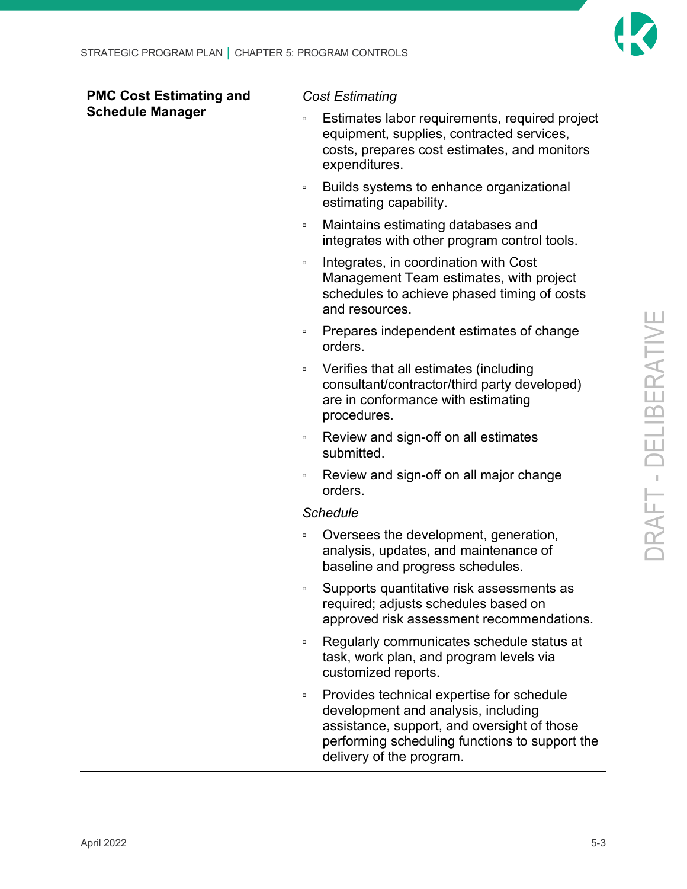

| <b>PMC Cost Estimating and</b><br><b>Schedule Manager</b> | <b>Cost Estimating</b>                                                                                                                                                                                                  |  |
|-----------------------------------------------------------|-------------------------------------------------------------------------------------------------------------------------------------------------------------------------------------------------------------------------|--|
|                                                           | Estimates labor requirements, required project<br>$\Box$<br>equipment, supplies, contracted services,<br>costs, prepares cost estimates, and monitors<br>expenditures.                                                  |  |
|                                                           | Builds systems to enhance organizational<br>$\Box$<br>estimating capability.                                                                                                                                            |  |
|                                                           | Maintains estimating databases and<br>$\Box$<br>integrates with other program control tools.                                                                                                                            |  |
|                                                           | Integrates, in coordination with Cost<br>$\Box$<br>Management Team estimates, with project<br>schedules to achieve phased timing of costs<br>and resources.                                                             |  |
|                                                           | Prepares independent estimates of change<br>$\Box$<br>orders.                                                                                                                                                           |  |
|                                                           | Verifies that all estimates (including<br>$\Box$<br>consultant/contractor/third party developed)<br>are in conformance with estimating<br>procedures.                                                                   |  |
|                                                           | Review and sign-off on all estimates<br>$\Box$<br>submitted.                                                                                                                                                            |  |
|                                                           | Review and sign-off on all major change<br>$\Box$<br>orders.                                                                                                                                                            |  |
|                                                           | <b>Schedule</b>                                                                                                                                                                                                         |  |
|                                                           | Oversees the development, generation,<br>$\Box$<br>analysis, updates, and maintenance of<br>baseline and progress schedules.                                                                                            |  |
|                                                           | Supports quantitative risk assessments as<br>$\Box$<br>required; adjusts schedules based on<br>approved risk assessment recommendations.                                                                                |  |
|                                                           | Regularly communicates schedule status at<br>$\Box$<br>task, work plan, and program levels via<br>customized reports.                                                                                                   |  |
|                                                           | Provides technical expertise for schedule<br>$\Box$<br>development and analysis, including<br>assistance, support, and oversight of those<br>performing scheduling functions to support the<br>delivery of the program. |  |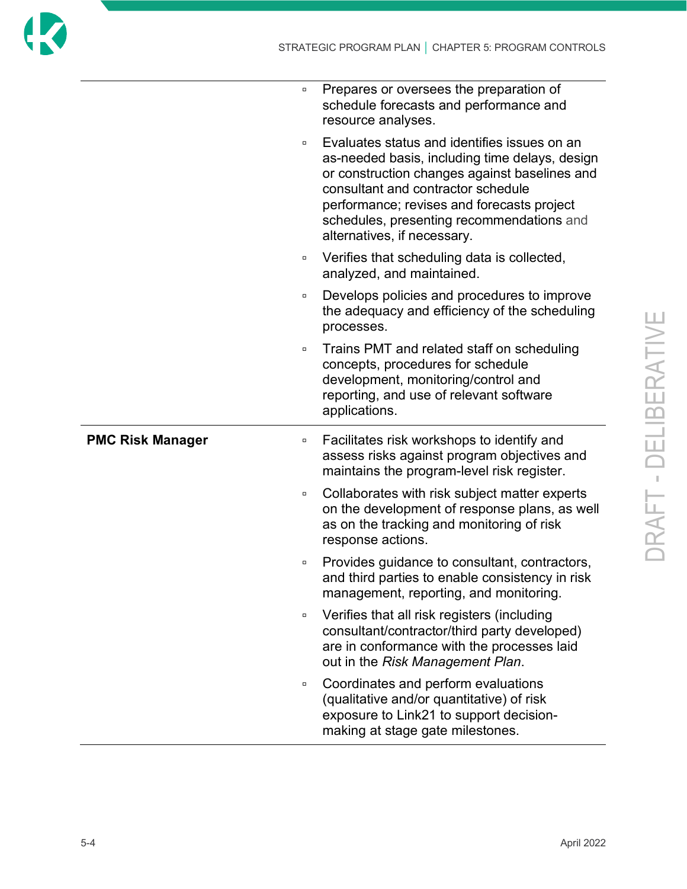

|                         | $\Box$ | Prepares or oversees the preparation of<br>schedule forecasts and performance and<br>resource analyses.                                                                                                                                                                                                         |
|-------------------------|--------|-----------------------------------------------------------------------------------------------------------------------------------------------------------------------------------------------------------------------------------------------------------------------------------------------------------------|
|                         | $\Box$ | Evaluates status and identifies issues on an<br>as-needed basis, including time delays, design<br>or construction changes against baselines and<br>consultant and contractor schedule<br>performance; revises and forecasts project<br>schedules, presenting recommendations and<br>alternatives, if necessary. |
|                         | α      | Verifies that scheduling data is collected,<br>analyzed, and maintained.                                                                                                                                                                                                                                        |
|                         | $\Box$ | Develops policies and procedures to improve<br>the adequacy and efficiency of the scheduling<br>processes.                                                                                                                                                                                                      |
|                         | $\Box$ | Trains PMT and related staff on scheduling<br>concepts, procedures for schedule<br>development, monitoring/control and<br>reporting, and use of relevant software<br>applications.                                                                                                                              |
|                         | $\Box$ |                                                                                                                                                                                                                                                                                                                 |
| <b>PMC Risk Manager</b> |        | Facilitates risk workshops to identify and<br>assess risks against program objectives and<br>maintains the program-level risk register.                                                                                                                                                                         |
|                         | α      | Collaborates with risk subject matter experts<br>on the development of response plans, as well<br>as on the tracking and monitoring of risk<br>response actions.                                                                                                                                                |
|                         | $\Box$ | Provides guidance to consultant, contractors,<br>and third parties to enable consistency in risk<br>management, reporting, and monitoring.                                                                                                                                                                      |
|                         | $\Box$ | Verifies that all risk registers (including<br>consultant/contractor/third party developed)<br>are in conformance with the processes laid<br>out in the Risk Management Plan.                                                                                                                                   |

R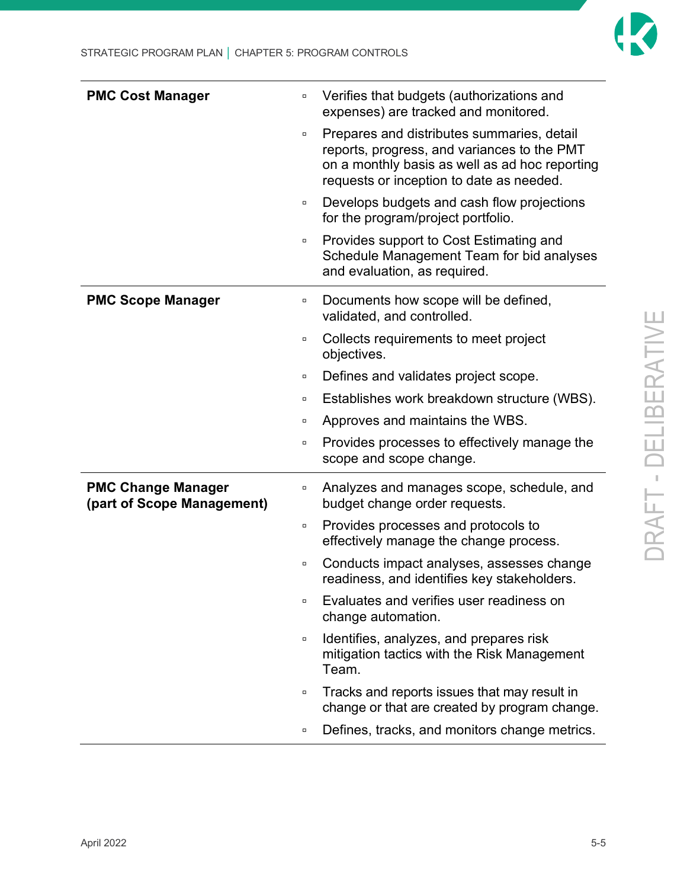

| <b>PMC Cost Manager</b>                                 | $\Box$ | Verifies that budgets (authorizations and<br>expenses) are tracked and monitored.                                                                                                       |
|---------------------------------------------------------|--------|-----------------------------------------------------------------------------------------------------------------------------------------------------------------------------------------|
|                                                         | $\Box$ | Prepares and distributes summaries, detail<br>reports, progress, and variances to the PMT<br>on a monthly basis as well as ad hoc reporting<br>requests or inception to date as needed. |
|                                                         | $\Box$ | Develops budgets and cash flow projections<br>for the program/project portfolio.                                                                                                        |
|                                                         | $\Box$ | Provides support to Cost Estimating and<br>Schedule Management Team for bid analyses<br>and evaluation, as required.                                                                    |
| <b>PMC Scope Manager</b>                                | $\Box$ | Documents how scope will be defined,<br>validated, and controlled.                                                                                                                      |
|                                                         | $\Box$ | Collects requirements to meet project<br>objectives.                                                                                                                                    |
|                                                         | $\Box$ | Defines and validates project scope.                                                                                                                                                    |
|                                                         |        | Establishes work breakdown structure (WBS).                                                                                                                                             |
|                                                         | $\Box$ | Approves and maintains the WBS.                                                                                                                                                         |
|                                                         | $\Box$ | Provides processes to effectively manage the<br>scope and scope change.                                                                                                                 |
| <b>PMC Change Manager</b><br>(part of Scope Management) | $\Box$ | Analyzes and manages scope, schedule, and<br>budget change order requests.                                                                                                              |
|                                                         | $\Box$ | Provides processes and protocols to<br>effectively manage the change process.                                                                                                           |
|                                                         | $\Box$ | Conducts impact analyses, assesses change<br>readiness, and identifies key stakeholders.                                                                                                |
|                                                         | $\Box$ | Evaluates and verifies user readiness on<br>change automation.                                                                                                                          |
|                                                         | $\Box$ | Identifies, analyzes, and prepares risk<br>mitigation tactics with the Risk Management<br>Team.                                                                                         |
|                                                         | $\Box$ | Tracks and reports issues that may result in<br>change or that are created by program change.                                                                                           |
|                                                         | α      | Defines, tracks, and monitors change metrics.                                                                                                                                           |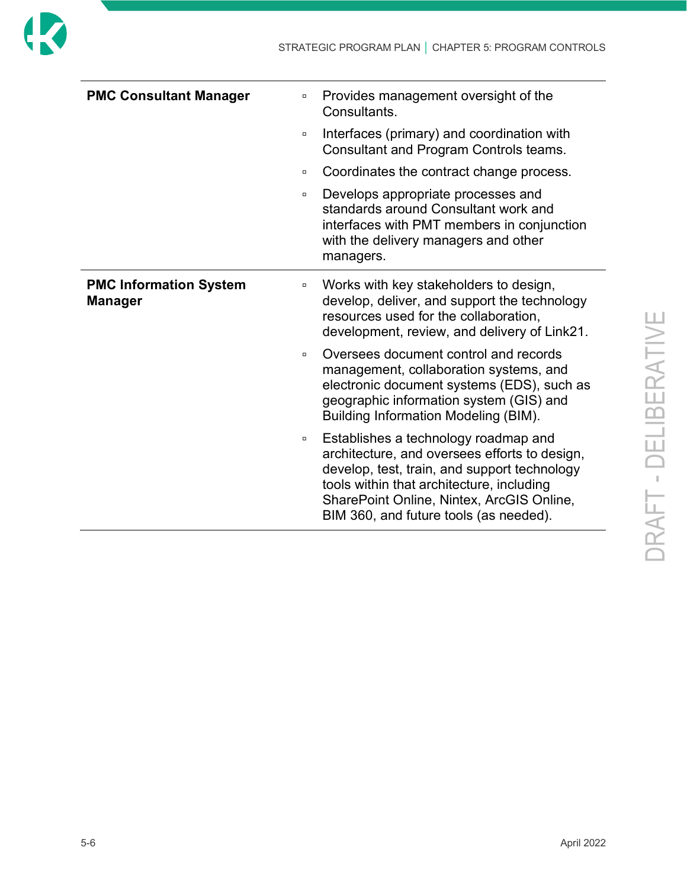

| <b>PMC Consultant Manager</b>                   | $\Box$ | Provides management oversight of the<br>Consultants.                                                                                                                                                                                                                      |
|-------------------------------------------------|--------|---------------------------------------------------------------------------------------------------------------------------------------------------------------------------------------------------------------------------------------------------------------------------|
|                                                 | $\Box$ | Interfaces (primary) and coordination with<br><b>Consultant and Program Controls teams.</b>                                                                                                                                                                               |
|                                                 | $\Box$ | Coordinates the contract change process.                                                                                                                                                                                                                                  |
|                                                 | $\Box$ | Develops appropriate processes and<br>standards around Consultant work and<br>interfaces with PMT members in conjunction<br>with the delivery managers and other<br>managers.                                                                                             |
| <b>PMC Information System</b><br><b>Manager</b> | $\Box$ | Works with key stakeholders to design,<br>develop, deliver, and support the technology<br>resources used for the collaboration,<br>development, review, and delivery of Link21.                                                                                           |
|                                                 | $\Box$ | Oversees document control and records<br>management, collaboration systems, and<br>electronic document systems (EDS), such as<br>geographic information system (GIS) and<br><b>Building Information Modeling (BIM).</b>                                                   |
|                                                 | $\Box$ | Establishes a technology roadmap and<br>architecture, and oversees efforts to design,<br>develop, test, train, and support technology<br>tools within that architecture, including<br>SharePoint Online, Nintex, ArcGIS Online,<br>BIM 360, and future tools (as needed). |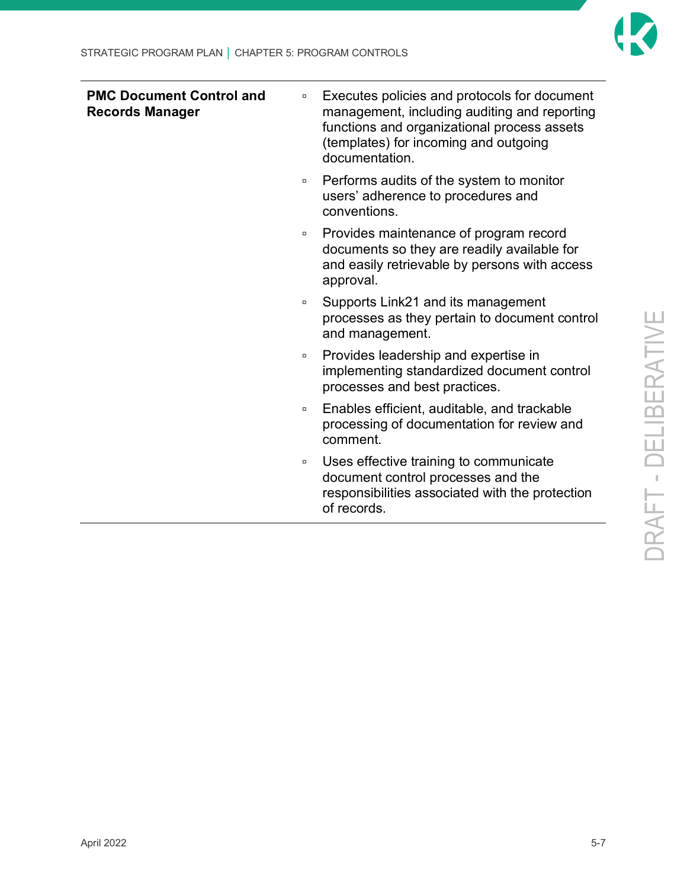

| <b>PMC Document Control and</b><br><b>Records Manager</b> | $\Box$ | Executes policies and protocols for document<br>management, including auditing and reporting<br>functions and organizational process assets<br>(templates) for incoming and outgoing<br>documentation. |
|-----------------------------------------------------------|--------|--------------------------------------------------------------------------------------------------------------------------------------------------------------------------------------------------------|
|                                                           | $\Box$ | Performs audits of the system to monitor<br>users' adherence to procedures and<br>conventions.                                                                                                         |
|                                                           | $\Box$ | Provides maintenance of program record<br>documents so they are readily available for<br>and easily retrievable by persons with access<br>approval.                                                    |
|                                                           | $\Box$ | Supports Link21 and its management<br>processes as they pertain to document control<br>and management.                                                                                                 |
|                                                           | $\Box$ | Provides leadership and expertise in<br>implementing standardized document control<br>processes and best practices.                                                                                    |
|                                                           | $\Box$ | Enables efficient, auditable, and trackable<br>processing of documentation for review and<br>comment.                                                                                                  |
|                                                           | $\Box$ | Uses effective training to communicate<br>document control processes and the<br>responsibilities associated with the protection<br>of records.                                                         |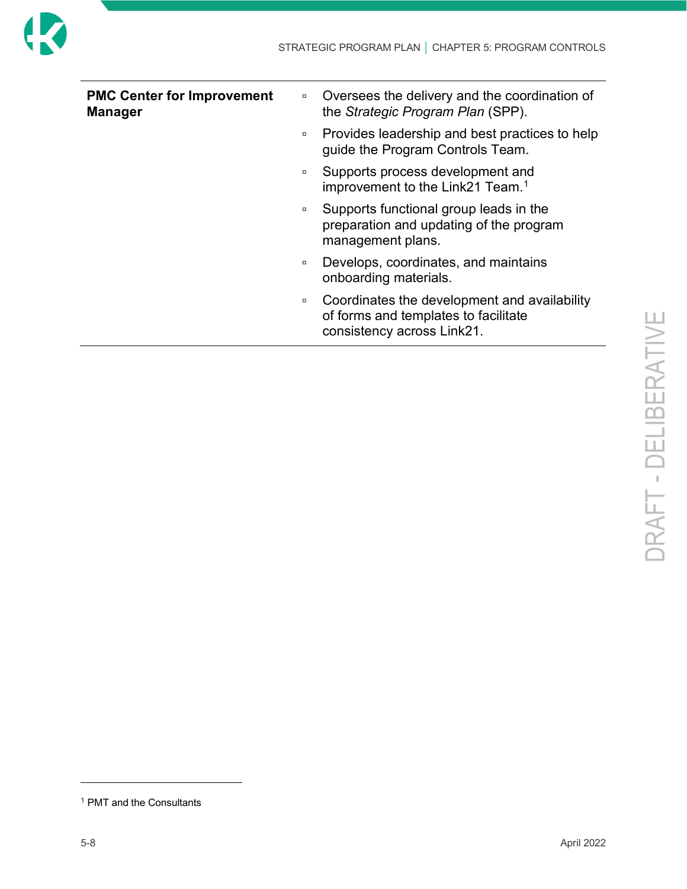

| $\Box$ | Oversees the delivery and the coordination of<br>the Strategic Program Plan (SPP).                                 |
|--------|--------------------------------------------------------------------------------------------------------------------|
| $\Box$ | Provides leadership and best practices to help<br>guide the Program Controls Team.                                 |
| $\Box$ | Supports process development and<br>improvement to the Link21 Team. <sup>1</sup>                                   |
| α      | Supports functional group leads in the<br>preparation and updating of the program<br>management plans.             |
| $\Box$ | Develops, coordinates, and maintains<br>onboarding materials.                                                      |
| π.     | Coordinates the development and availability<br>of forms and templates to facilitate<br>consistency across Link21. |
|        |                                                                                                                    |

<span id="page-15-0"></span><sup>1</sup> PMT and the Consultants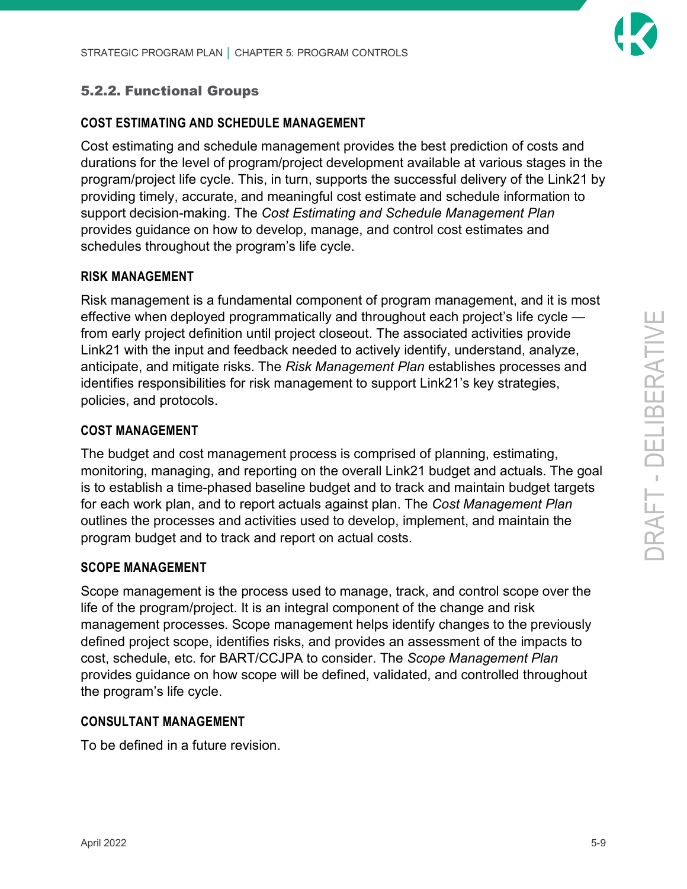

### <span id="page-16-0"></span>5.2.2. Functional Groups

### **COST ESTIMATING AND SCHEDULE MANAGEMENT**

Cost estimating and schedule management provides the best prediction of costs and durations for the level of program/project development available at various stages in the program/project life cycle. This, in turn, supports the successful delivery of the Link21 by providing timely, accurate, and meaningful cost estimate and schedule information to support decision-making. The *Cost Estimating and Schedule Management Plan* provides guidance on how to develop, manage, and control cost estimates and schedules throughout the program's life cycle.

#### **RISK MANAGEMENT**

Risk management is a fundamental component of program management, and it is most effective when deployed programmatically and throughout each project's life cycle from early project definition until project closeout. The associated activities provide Link21 with the input and feedback needed to actively identify, understand, analyze, anticipate, and mitigate risks. The *Risk Management Plan* establishes processes and identifies responsibilities for risk management to support Link21's key strategies, policies, and protocols.

#### **COST MANAGEMENT**

The budget and cost management process is comprised of planning, estimating, monitoring, managing, and reporting on the overall Link21 budget and actuals. The goal is to establish a time-phased baseline budget and to track and maintain budget targets for each work plan, and to report actuals against plan. The *Cost Management Plan* outlines the processes and activities used to develop, implement, and maintain the program budget and to track and report on actual costs.

#### **SCOPE MANAGEMENT**

Scope management is the process used to manage, track, and control scope over the life of the program/project. It is an integral component of the change and risk management processes. Scope management helps identify changes to the previously defined project scope, identifies risks, and provides an assessment of the impacts to cost, schedule, etc. for BART/CCJPA to consider. The *Scope Management Plan* provides guidance on how scope will be defined, validated, and controlled throughout the program's life cycle.

#### **CONSULTANT MANAGEMENT**

To be defined in a future revision.